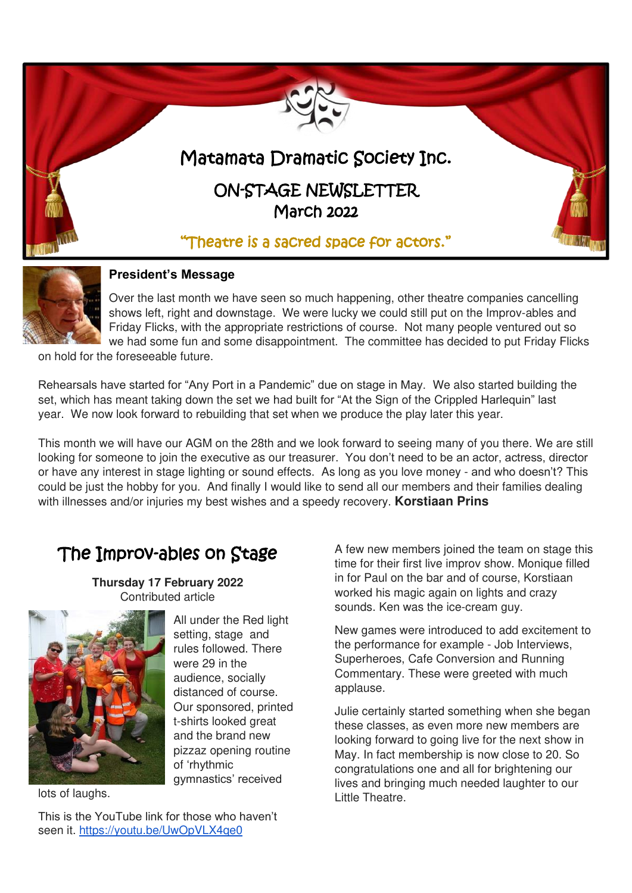



#### **President's Message**

Over the last month we have seen so much happening, other theatre companies cancelling shows left, right and downstage. We were lucky we could still put on the Improv-ables and Friday Flicks, with the appropriate restrictions of course. Not many people ventured out so we had some fun and some disappointment. The committee has decided to put Friday Flicks

on hold for the foreseeable future.

Rehearsals have started for "Any Port in a Pandemic" due on stage in May. We also started building the set, which has meant taking down the set we had built for "At the Sign of the Crippled Harlequin" last year. We now look forward to rebuilding that set when we produce the play later this year.

This month we will have our AGM on the 28th and we look forward to seeing many of you there. We are still looking for someone to join the executive as our treasurer. You don't need to be an actor, actress, director or have any interest in stage lighting or sound effects. As long as you love money - and who doesn't? This could be just the hobby for you. And finally I would like to send all our members and their families dealing with illnesses and/or injuries my best wishes and a speedy recovery. **Korstiaan Prins**

# The Improv-ables on Stage

**Thursday 17 February 2022**  Contributed article



All under the Red light setting, stage and rules followed. There were 29 in the audience, socially distanced of course. Our sponsored, printed t-shirts looked great and the brand new pizzaz opening routine of 'rhythmic gymnastics' received

lots of laughs.

This is the YouTube link for those who haven't seen it. https://youtu.be/UwOpVLX4qe0

A few new members joined the team on stage this time for their first live improv show. Monique filled in for Paul on the bar and of course, Korstiaan worked his magic again on lights and crazy sounds. Ken was the ice-cream guy.

New games were introduced to add excitement to the performance for example - Job Interviews, Superheroes, Cafe Conversion and Running Commentary. These were greeted with much applause.

Julie certainly started something when she began these classes, as even more new members are looking forward to going live for the next show in May. In fact membership is now close to 20. So congratulations one and all for brightening our lives and bringing much needed laughter to our Little Theatre.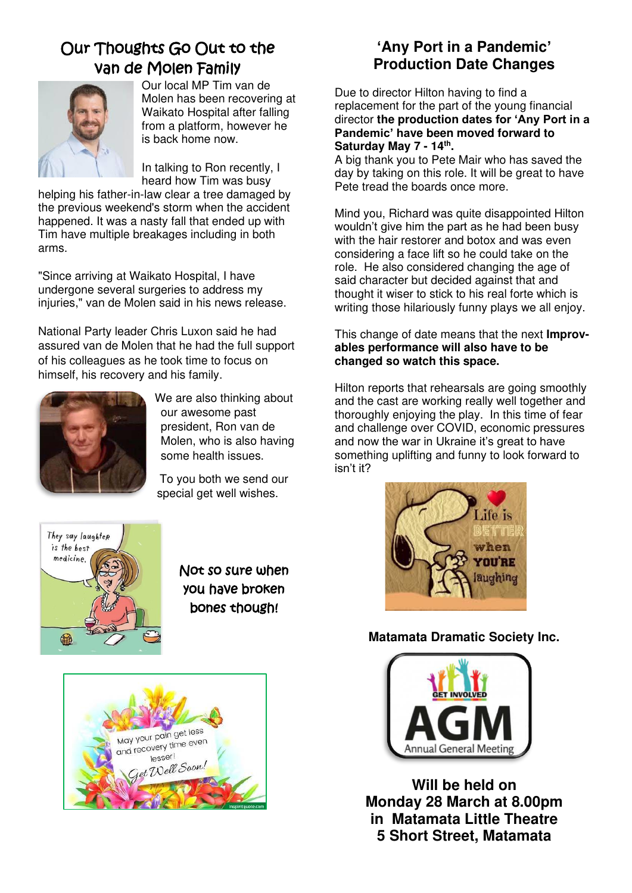## Our Thoughts Go Out to the van de Molen Family



Our local MP Tim van de Molen has been recovering at Waikato Hospital after falling from a platform, however he is back home now.

In talking to Ron recently, I heard how Tim was busy

helping his father-in-law clear a tree damaged by the previous weekend's storm when the accident happened. It was a nasty fall that ended up with Tim have multiple breakages including in both arms.

"Since arriving at Waikato Hospital, I have undergone several surgeries to address my injuries," van de Molen said in his news release.

National Party leader Chris Luxon said he had assured van de Molen that he had the full support of his colleagues as he took time to focus on himself, his recovery and his family.



We are also thinking about our awesome past president, Ron van de Molen, who is also having some health issues.

To you both we send our special get well wishes.



Not so sure when you have broken bones though!



## **'Any Port in a Pandemic' Production Date Changes**

Due to director Hilton having to find a replacement for the part of the young financial director **the production dates for 'Any Port in a Pandemic' have been moved forward to Saturday May 7 - 14th .**

A big thank you to Pete Mair who has saved the day by taking on this role. It will be great to have Pete tread the boards once more.

Mind you, Richard was quite disappointed Hilton wouldn't give him the part as he had been busy with the hair restorer and botox and was even considering a face lift so he could take on the role. He also considered changing the age of said character but decided against that and thought it wiser to stick to his real forte which is writing those hilariously funny plays we all enjoy.

This change of date means that the next **Improvables performance will also have to be changed so watch this space.**

Hilton reports that rehearsals are going smoothly and the cast are working really well together and thoroughly enjoying the play. In this time of fear and challenge over COVID, economic pressures and now the war in Ukraine it's great to have something uplifting and funny to look forward to isn't it?



## **Matamata Dramatic Society Inc.**



**Will be held on Monday 28 March at 8.00pm in Matamata Little Theatre 5 Short Street, Matamata**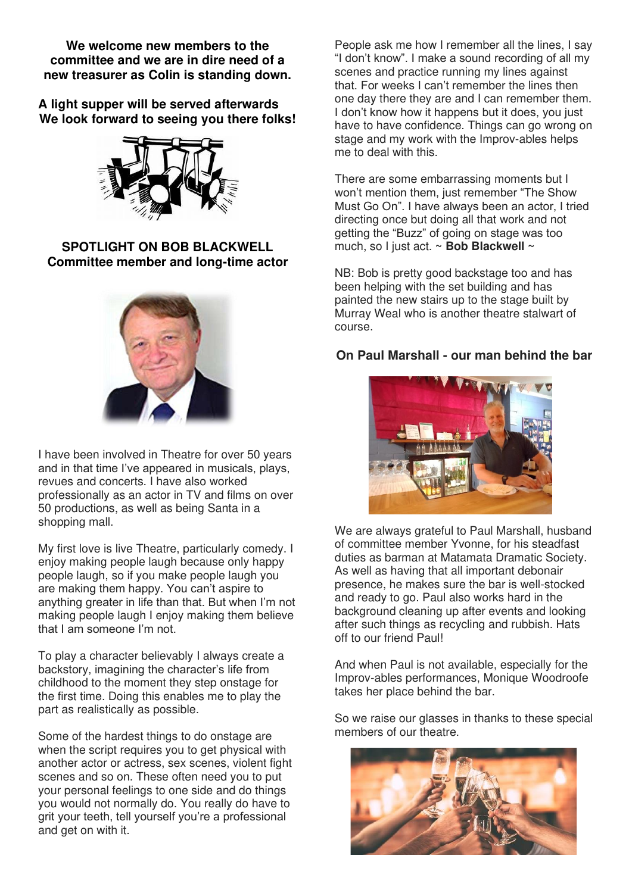**We welcome new members to the committee and we are in dire need of a new treasurer as Colin is standing down.** 

**A light supper will be served afterwards We look forward to seeing you there folks!**



#### **SPOTLIGHT ON BOB BLACKWELL Committee member and long-time actor**



I have been involved in Theatre for over 50 years and in that time I've appeared in musicals, plays, revues and concerts. I have also worked professionally as an actor in TV and films on over 50 productions, as well as being Santa in a shopping mall.

My first love is live Theatre, particularly comedy. I enjoy making people laugh because only happy people laugh, so if you make people laugh you are making them happy. You can't aspire to anything greater in life than that. But when I'm not making people laugh I enjoy making them believe that I am someone I'm not.

To play a character believably I always create a backstory, imagining the character's life from childhood to the moment they step onstage for the first time. Doing this enables me to play the part as realistically as possible.

Some of the hardest things to do onstage are when the script requires you to get physical with another actor or actress, sex scenes, violent fight scenes and so on. These often need you to put your personal feelings to one side and do things you would not normally do. You really do have to grit your teeth, tell yourself you're a professional and get on with it.

People ask me how I remember all the lines, I say "I don't know". I make a sound recording of all my scenes and practice running my lines against that. For weeks I can't remember the lines then one day there they are and I can remember them. I don't know how it happens but it does, you just have to have confidence. Things can go wrong on stage and my work with the Improv-ables helps me to deal with this.

There are some embarrassing moments but I won't mention them, just remember "The Show Must Go On". I have always been an actor, I tried directing once but doing all that work and not getting the "Buzz" of going on stage was too much, so I just act. **~ Bob Blackwell ~** 

NB: Bob is pretty good backstage too and has been helping with the set building and has painted the new stairs up to the stage built by Murray Weal who is another theatre stalwart of course.

#### **On Paul Marshall - our man behind the bar**



We are always grateful to Paul Marshall, husband of committee member Yvonne, for his steadfast duties as barman at Matamata Dramatic Society. As well as having that all important debonair presence, he makes sure the bar is well-stocked and ready to go. Paul also works hard in the background cleaning up after events and looking after such things as recycling and rubbish. Hats off to our friend Paul!

And when Paul is not available, especially for the Improv-ables performances, Monique Woodroofe takes her place behind the bar.

So we raise our glasses in thanks to these special members of our theatre.